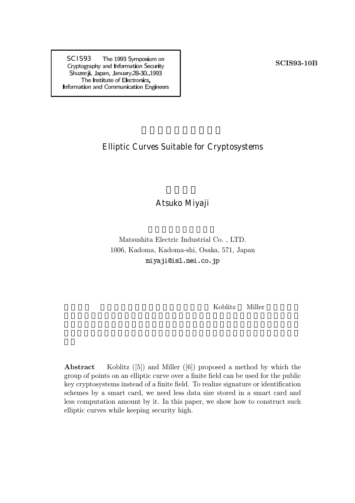SCIS93 The 1993 Symposium on<br>
Cryptography and Information Security<br>
SCIS93-10B Shuzenji, Japan, January 28 30, 1993 The Institute of Electronics, Information and Communication Engineers

## Elliptic Curves Suitable for Cryptosystems

## Atsuko Miyaji

Matsushita Electric Industrial Co. , LTD. 1006, Kadoma, Kadoma-shi, Osaka, 571, Japan miyaji@isl.mei.co.jp

koblitz Miller

**Abstract** Koblitz  $([5])$  and Miller  $([6])$  proposed a method by which the group of points on an elliptic curve over a finite field can be used for the public key cryptosystems instead of a finite field. To realize signature or identification schemes by a smart card, we need less data size stored in a smart card and less computation amount by it. In this paper, we show how to construct such elliptic curves while keeping security high.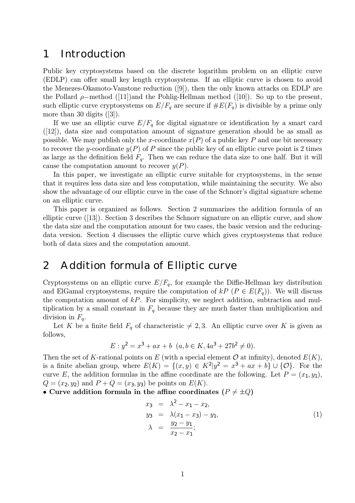## 1 Introduction

Public key cryptosystems based on the discrete logarithm problem on an elliptic curve (EDLP) can offer small key length cryptosystems. If an elliptic curve is chosen to avoid the Menezes-Okamoto-Vanstone reduction ([9]), then the only known attacks on EDLP are the Pollard  $\rho$ –method ([11])and the Pohlig-Hellman method ([10]). So up to the present, such elliptic curve cryptosystems on  $E/F_q$  are secure if  $\#E(F_q)$  is divisible by a prime only more than 30 digits ([3]).

If we use an elliptic curve  $E/F_q$  for digital signature or identification by a smart card  $([12])$ , data size and computation amount of signature generation should be as small as possible. We may publish only the x-coordinate  $x(P)$  of a public key P and one bit necessary to recover the y-coordinate  $y(P)$  of P since the public key of an elliptic curve point is 2 times as large as the definition field  $F_q$ . Then we can reduce the data size to one half. But it will cause the computation amount to recover  $y(P)$ .

In this paper, we investigate an elliptic curve suitable for cryptosystems, in the sense that it requires less data size and less computation, while maintaining the security. We also show the advantage of our elliptic curve in the case of the Schnorr's digital signature scheme on an elliptic curve.

This paper is organized as follows. Section 2 summarizes the addition formula of an elliptic curve ([13]). Section 3 describes the Schnorr signature on an elliptic curve, and show the data size and the computation amount for two cases, the basic version and the reducingdata version. Section 4 discusses the elliptic curve which gives cryptosystems that reduce both of data sizes and the computation amount.

# 2 Addition formula of Elliptic curve

Cryptosystems on an elliptic curve  $E/F_q$ , for example the Diffie-Hellman key distribution and ElGamal cryptosystems, require the computation of  $kP$  ( $P \in E(F_q)$ ). We will discuss the computation amount of  $kP$ . For simplicity, we neglect addition, subtraction and multiplication by a small constant in  $F_q$  because they are much faster than multiplication and division in  $F_q$ .

Let K be a finite field  $F_q$  of characteristic  $\neq 2, 3$ . An elliptic curve over K is given as follows,

$$
E: y^2 = x^3 + ax + b \ (a, b \in K, 4a^3 + 27b^2 \neq 0).
$$

Then the set of K-rational points on E (with a special element  $\mathcal O$  at infinity), denoted  $E(K)$ , is a finite abelian group, where  $E(K) = \{(x, y) \in K^2 | y^2 = x^3 + ax + b\} \cup {\mathcal{O}}$ . For the curve E, the addition formulas in the affine coordinate are the following. Let  $P = (x_1, y_1)$ ,  $Q = (x_2, y_2)$  and  $P + Q = (x_3, y_3)$  be points on  $E(K)$ .

• Curve addition formula in the affine coordinates ( $P \neq \pm Q$ )

$$
x_3 = \lambda^2 - x_1 - x_2,
$$
  
\n
$$
y_3 = \lambda(x_1 - x_3) - y_1,
$$
  
\n
$$
\lambda = \frac{y_2 - y_1}{x_2 - x_1};
$$
\n(1)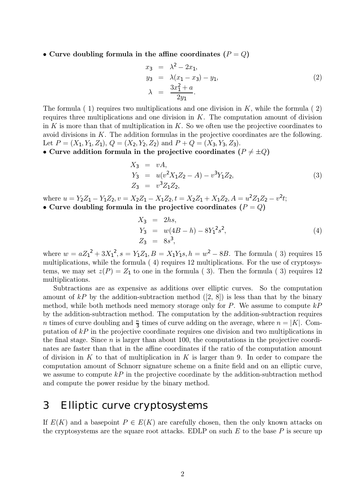• Curve doubling formula in the affine coordinates  $(P = Q)$ 

$$
x_3 = \lambda^2 - 2x_1, \n y_3 = \lambda(x_1 - x_3) - y_1, \n \lambda = \frac{3x_1^2 + a}{2y_1}.
$$
\n(2)

The formula  $(1)$  requires two multiplications and one division in K, while the formula  $(2)$ requires three multiplications and one division in  $K$ . The computation amount of division in  $K$  is more than that of multiplication in  $K$ . So we often use the projective coordinates to avoid divisions in K. The addition formulas in the projective coordinates are the following. Let  $P = (X_1, Y_1, Z_1), Q = (X_2, Y_2, Z_2)$  and  $P + Q = (X_3, Y_3, Z_3)$ .

• Curve addition formula in the projective coordinates ( $P \neq \pm Q$ )

$$
X_3 = vA,
$$
  
\n
$$
Y_3 = u(v^2X_1Z_2 - A) - v^3Y_1Z_2,
$$
  
\n
$$
Z_3 = v^3Z_1Z_2,
$$
\n(3)

where  $u = Y_2Z_1 - Y_1Z_2$ ,  $v = X_2Z_1 - X_1Z_2$ ,  $t = X_2Z_1 + X_1Z_2$ ,  $A = u^2Z_1Z_2 - v^2t$ ; • Curve doubling formula in the projective coordinates  $(P = Q)$ 

$$
X_3 = 2hs,Y_3 = w(4B - h) - 8Y_1^2s^2,Z_3 = 8s^3,
$$
 (4)

where  $w = aZ_1^2 + 3X_1^2$ ,  $s = Y_1Z_1$ ,  $B = X_1Y_1s$ ,  $h = w^2 - 8B$ . The formula (3) requires 15 multiplications, while the formula ( 4) requires 12 multiplications. For the use of cryptosystems, we may set  $z(P) = Z_1$  to one in the formula (3). Then the formula (3) requires 12 multiplications.

Subtractions are as expensive as additions over elliptic curves. So the computation amount of  $kP$  by the addition-subtraction method ([2, 8]) is less than that by the binary method, while both methods need memory storage only for  $P$ . We assume to compute  $kP$ by the addition-subtraction method. The computation by the addition-subtraction requires *n* times of curve doubling and  $\frac{n}{3}$  times of curve adding on the average, where  $n = |K|$ . Computation of  $kP$  in the projective coordinate requires one division and two multiplications in the final stage. Since  $n$  is larger than about 100, the computations in the projective coordinates are faster than that in the affine coordinates if the ratio of the computation amount of division in K to that of multiplication in K is larger than 9. In order to compare the computation amount of Schnorr signature scheme on a finite field and on an elliptic curve, we assume to compute  $k\ddot{P}$  in the projective coordinate by the addition-subtraction method and compute the power residue by the binary method.

## 3 Elliptic curve cryptosystems

If  $E(K)$  and a basepoint  $P \in E(K)$  are carefully chosen, then the only known attacks on the cryptosystems are the square root attacks. EDLP on such  $E$  to the base  $P$  is secure up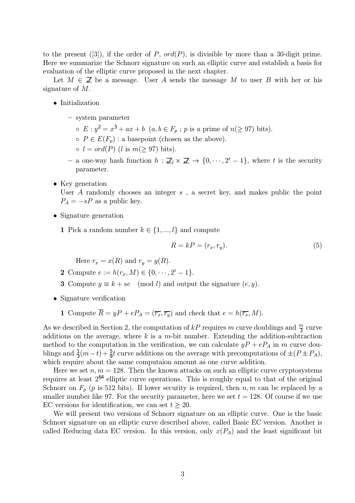to the present ([3]), if the order of P,  $ord(P)$ , is divisible by more than a 30-digit prime. Here we summarize the Schnorr signature on such an elliptic curve and establish a basis for evaluation of the elliptic curve proposed in the next chapter.

Let  $M \in \mathbb{Z}$  be a message. User A sends the message M to user B with her or his signature of M.

- Initialization
	- system parameter
		- $E: y^2 = x^3 + ax + b$   $(a, b \in F_p; p \text{ is a prime of } n (\geq 97) \text{ bits}).$
		- $\circ$   $P \in E(F_n)$ : a basepoint (chosen as the above).
		- $\circ$  l = ord(P) (l is m(> 97) bits).
	- a one-way hash function  $h : \mathbb{Z}_l \times \mathbb{Z} \to \{0, \dots, 2^t 1\}$ , where t is the security parameter.
- Key generation

User  $A$  randomly chooses an integer  $s$ , a secret key, and makes public the point  $P_A = -sP$  as a public key.

- Signature generation
	- 1 Pick a random number  $k \in \{1, ..., l\}$  and compute

$$
R = kP = (r_x, r_y). \tag{5}
$$

Here  $r_x = x(R)$  and  $r_y = y(R)$ .

- 2 Compute  $e := h(r_x, M) \in \{0, \dots, 2^t 1\}.$
- 3 Compute  $y \equiv k + se \pmod{l}$  and output the signature  $(e, y)$ .
- Signature verification
	- 1 Compute  $\overline{R} = yP + eP_A = (\overline{r_x}, \overline{r_y})$  and check that  $e = h(\overline{r_x}, M)$ .

As we described in Section 2, the computation of  $kP$  requires m curve doublings and  $\frac{m}{3}$  curve additions on the average, where  $k$  is a m-bit number. Extending the addition-subtraction method to the computation in the verification, we can calculate  $yP + eP_A$  in m curve doublings and  $\frac{1}{3}(m-t) + \frac{5}{9}t$  curve additions on the average with precomputations of  $\pm (P \pm P_A)$ , which require about the same computaion amount as one curve addition.

Here we set  $n, m = 128$ . Then the known attacks on such an elliptic curve cryptosystems requires at least 2<sup>64</sup> elliptic curve operations. This is roughly equal to that of the original Schnorr on  $F_p$  (p is 512 bits). If lower security is required, then  $n, m$  can be replaced by a smaller number like 97. For the security parameter, here we set  $t = 128$ . Of course if we use EC versions for identification, we can set  $t \geq 20$ .

We will present two versions of Schnorr signature on an elliptic curve. One is the basic Schnorr signature on an elliptic curve described above, called Basic EC version. Another is called Reducing data EC version. In this version, only  $x(P_A)$  and the least significant bit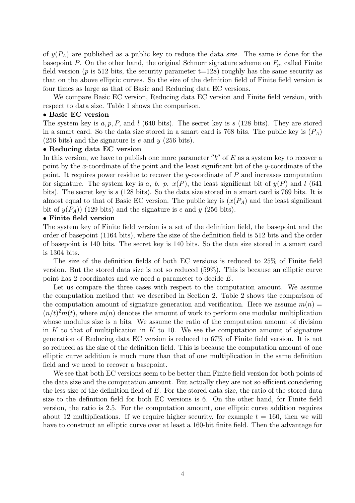of  $y(P_A)$  are published as a public key to reduce the data size. The same is done for the basepoint P. On the other hand, the original Schnorr signature scheme on  $F_p$ , called Finite field version ( $p$  is 512 bits, the security parameter  $t=128$ ) roughly has the same security as that on the above elliptic curves. So the size of the definition field of Finite field version is four times as large as that of Basic and Reducing data EC versions.

We compare Basic EC version, Reducing data EC version and Finite field version, with respect to data size. Table 1 shows the comparison.

#### • Basic EC version

The system key is  $a, p, P$ , and l (640 bits). The secret key is s (128 bits). They are stored in a smart card. So the data size stored in a smart card is 768 bits. The public key is  $(P_A)$ (256 bits) and the signature is e and  $y$  (256 bits).

#### • Reducing data EC version

In this version, we have to publish one more parameter " $b$ " of E as a system key to recover a point by the x-coordinate of the point and the least significant bit of the y-coordinate of the point. It requires power residue to recover the y-coordinate of  $P$  and increases computation for signature. The system key is a, b, p,  $x(P)$ , the least significant bit of  $y(P)$  and l (641) bits). The secret key is s (128 bits). So the data size stored in a smart card is 769 bits. It is almost equal to that of Basic EC version. The public key is  $(x(P_A))$  and the least significant bit of  $y(P_A)$  (129 bits) and the signature is e and y (256 bits).

### • Finite field version

The system key of Finite field version is a set of the definition field, the basepoint and the order of basepoint (1164 bits), where the size of the definition field is 512 bits and the order of basepoint is 140 bits. The secret key is 140 bits. So the data size stored in a smart card is 1304 bits.

The size of the definition fields of both EC versions is reduced to 25% of Finite field version. But the stored data size is not so reduced (59%). This is because an elliptic curve point has 2 coordinates and we need a parameter to decide E.

Let us compare the three cases with respect to the computation amount. We assume the computation method that we described in Section 2. Table 2 shows the comparison of the computation amount of signature generation and verification. Here we assume  $m(n)$  $(n/t)^2m(t)$ , where  $m(n)$  denotes the amount of work to perform one modular multiplication whose modulus size is n bits. We assume the ratio of the computation amount of division in K to that of multiplication in K to 10. We see the computation amount of signature generation of Reducing data EC version is reduced to 67% of Finite field version. It is not so reduced as the size of the definition field. This is because the computation amount of one elliptic curve addition is much more than that of one multiplication in the same definition field and we need to recover a basepoint.

We see that both EC versions seem to be better than Finite field version for both points of the data size and the computation amount. But actually they are not so efficient considering the less size of the definition field of  $E$ . For the stored data size, the ratio of the stored data size to the definition field for both EC versions is 6. On the other hand, for Finite field version, the ratio is 2.5. For the computation amount, one elliptic curve addition requires about 12 multiplications. If we require higher security, for example  $t = 160$ , then we will have to construct an elliptic curve over at least a 160-bit finite field. Then the advantage for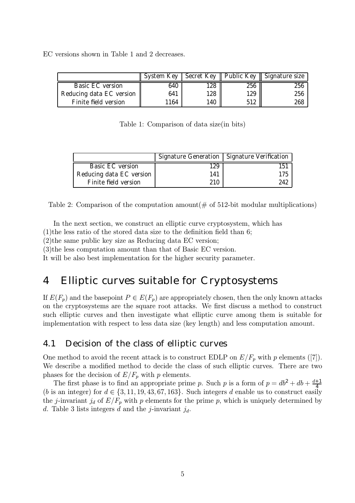EC versions shown in Table 1 and 2 decreases.

|                          |      |     |     | System Key   Secret Key    Public Key    Signature size |
|--------------------------|------|-----|-----|---------------------------------------------------------|
| Basic EC version         | 640  | 128 | 256 | 256                                                     |
| Reducing data EC version | 641  | 128 | 129 | 256                                                     |
| Finite field version     | 1164 | 140 | 512 | 268                                                     |

Table 1: Comparison of data size(in bits)

|                          |     | Signature Generation   Signature Verification |
|--------------------------|-----|-----------------------------------------------|
| Basic EC version         | 129 | 151                                           |
| Reducing data EC version | 141 | 175                                           |
| Finite field version     | 210 | 242                                           |

Table 2: Comparison of the computation amount  $(\#$  of 512-bit modular multiplications)

In the next section, we construct an elliptic curve cryptosystem, which has

(1)the less ratio of the stored data size to the definition field than 6;

(2)the same public key size as Reducing data EC version;

(3)the less computation amount than that of Basic EC version.

It will be also best implementation for the higher security parameter.

# 4 Elliptic curves suitable for Cryptosystems

If  $E(F_p)$  and the basepoint  $P \in E(F_p)$  are appropriately chosen, then the only known attacks on the cryptosystems are the square root attacks. We first discuss a method to construct such elliptic curves and then investigate what elliptic curve among them is suitable for implementation with respect to less data size (key length) and less computation amount.

## 4.1 Decision of the class of elliptic curves

One method to avoid the recent attack is to construct EDLP on  $E/F_p$  with p elements ([7]). We describe a modified method to decide the class of such elliptic curves. There are two phases for the decision of  $E/F_p$  with p elements.

The first phase is to find an appropriate prime p. Such p is a form of  $p = db^2 + db + \frac{d+1}{4}$ (b is an integer) for  $d \in \{3, 11, 19, 43, 67, 163\}$ . Such integers d enable us to construct easily the j-invariant j<sub>d</sub> of  $E/F_p$  with p elements for the prime p, which is uniquely determined by d. Table 3 lists integers d and the j-invariant  $j_d$ .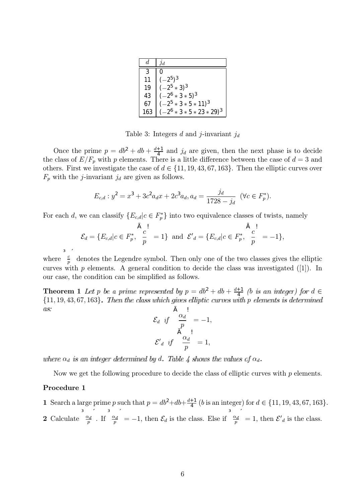| d   | $\jmath$                     |
|-----|------------------------------|
|     |                              |
| 11  | $(-2^5)^3$                   |
| 19  | $(-2^5 * 3)^3$               |
| 43  | $(-2^6 * 3 * 5)^3$           |
| 67  | $(-2^5 * 3 * 5 * 11)^3$      |
| 163 | $(-2^6 * 3 * 5 * 23 * 29)^3$ |

Table 3: Integers d and j-invariant  $j_d$ 

Once the prime  $p = db^2 + db + \frac{d+1}{4}$  and  $j_d$  are given, then the next phase is to decide the class of  $E/F_p$  with p elements. There is a little difference between the case of  $d=3$  and others. First we investigate the case of  $d \in \{11, 19, 43, 67, 163\}$ . Then the elliptic curves over  $F_p$  with the *j*-invariant  $j_d$  are given as follows.

$$
E_{c,d}: y^2 = x^3 + 3c^2 a_d x + 2c^3 a_d, a_d = \frac{j_d}{1728 - j_d} \quad (\forall c \in F_p^*).
$$

For each d, we can classify  $\{E_{c,d}|c \in F_p^*\}$  into two equivalence classes of twists, namely

$$
\tilde{\mathcal{E}}_d = \{ E_{c,d} | c \in F_p^*, \ \frac{c}{p} = 1 \} \ \text{ and } \ \mathcal{E'}_d = \{ E_{c,d} | c \in F_p^*, \ \frac{c}{p} = -1 \},
$$

where  $\frac{c}{p}$ denotes the Legendre symbol. Then only one of the two classes gives the elliptic curves with  $p$  elements. A general condition to decide the class was investigated ([1]). In our case, the condition can be simplified as follows.

**Theorem 1** Let p be a prime represented by  $p = db^2 + db + \frac{d+1}{4}$  (b is an integer) for  $d \in$  $\{11, 19, 43, 67, 163\}$ . Then the class which gives elliptic curves with p elements is determined as.

$$
\mathcal{E}_d \quad \text{if} \quad \begin{array}{c} \alpha_d \\ \frac{\alpha_d}{p} \\ \frac{\beta}{p} \end{array} = -1,
$$
\n
$$
\mathcal{E'}_d \quad \text{if} \quad \begin{array}{c} \alpha_d \\ \frac{\alpha_d}{p} \end{array} = 1,
$$

where  $\alpha_d$  is an integer determined by d. Table 4 shows the values of  $\alpha_d$ .

Now we get the following procedure to decide the class of elliptic curves with  $p$  elements.

### Procedure 1

1 Search a large prime p such that  $p = db^2 + db + \frac{d+1}{4}$  (b is an integer) for  $d \in \{11, 19, 43, 67, 163\}.$ 

**2** Calculate  $\frac{\alpha_1}{p}$ . If  $\frac{\alpha_1}{p}$  $=-1$ , then  $\mathcal{E}_d$  is the class. Else if  $\frac{\alpha}{p}$ = 1, then  $\mathcal{E}'_d$  is the class.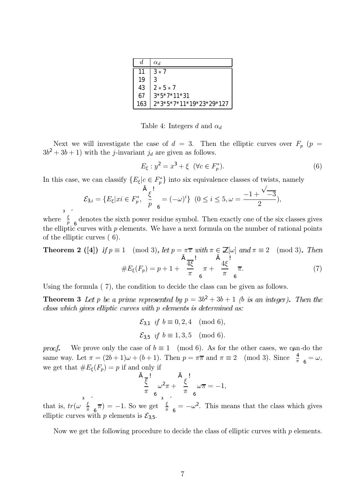| d   | $\alpha_d$              |
|-----|-------------------------|
| 11  | $3*7$                   |
| 19  |                         |
| 43  | $2 * 5 * 7$             |
| 67  | $3*5*7*11*31$           |
| 163 | 2*3*5*7*11*19*23*29*127 |

Table 4: Integers d and  $\alpha_d$ 

Next we will investigate the case of  $d = 3$ . Then the elliptic curves over  $F_p$  ( $p =$  $3b^2 + 3b + 1$ ) with the *j*-invariant  $j_d$  are given as follows.

$$
E_{\xi} : y^2 = x^3 + \xi \ \ (\forall c \in F_p^*). \tag{6}
$$

6

In this case, we can classify  $\{E_{\xi}|c \in F_p^*\}$  into six equivalence classes of twists, namely

$$
\mathcal{E}_{3,i} = \{ E_{\xi} | xi \in F_p^*, \ \frac{\xi}{p}_{6}^{1} = (-\omega)^i \} \ (0 \leq i \leq 5, \omega = \frac{-1 + \sqrt{-3}}{2}),
$$

where  $\frac{\xi}{p}$  $\frac{6}{6}$  denotes the sixth power residue symbol. Then exactly one of the six classes gives the elliptic curves with  $p$  elements. We have a next formula on the number of rational points of the elliptic curves ( 6).

**Theorem 2** ([4]) If  $p \equiv 1 \pmod{3}$ , let  $p = \pi \overline{\pi}$  with  $\pi \in \mathbb{Z}[\omega]$  and  $\pi \equiv 2 \pmod{3}$ . Then  $\#E_{\xi}(F_p) = p + 1 +$  $\sqrt{4\xi}$ π !  $\pi +$  $\bigcap_{4\xi}$ π !  $(7)$ 

6

Using the formula ( 7), the condition to decide the class can be given as follows.

Theorem 3 Let p be a prime represented by  $p = 3b^2 + 3b + 1$  (b is an integer). Then the class which gives elliptic curves with p elements is determined as:

> $\mathcal{E}_{3,1}$  if  $b \equiv 0, 2, 4 \pmod{6}$ ,  $\mathcal{E}_{3,5}$  if  $b \equiv 1, 3, 5 \pmod{6}$ .

We prove only the case of  $b \equiv 1 \pmod{6}$ . As for the other cases, we can do the proof same way. Let  $\pi = (2b+1)\omega + (b+1)$ . Then  $p = \pi \overline{\pi}$  and  $\pi \equiv 2 \pmod{3}$ . Since  $\frac{4}{\pi}$  $\alpha_6 = \omega,$ we get that  $#E_{\xi}(F_p) = p$  if and only if

$$
\frac{\tilde{A}_{\frac{\zeta}{\zeta}}}{\pi} \omega^2 \pi + \frac{\tilde{A}_{\frac{\zeta}{\zeta}}}{\pi} \omega \overline{\pi} = -1,
$$

that is,  $tr(\omega \frac{\xi}{\pi})$ π  $(\frac{\pi}{6}) = -1$ . So we get  $\frac{\xi}{\pi}$  $\epsilon_6 = -\omega^2$ . This means that the class which gives elliptic curves with p elements is  $\mathcal{E}_{3,5}$ .

Now we get the following procedure to decide the class of elliptic curves with  $p$  elements.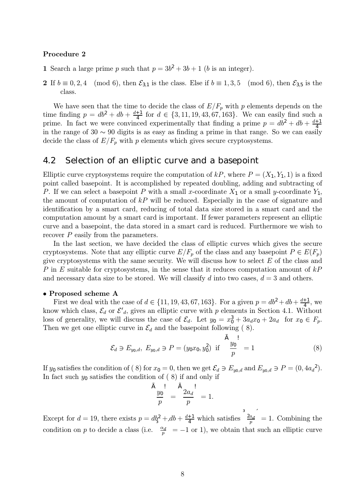#### Procedure 2

- 1 Search a large prime p such that  $p = 3b^2 + 3b + 1$  (b is an integer).
- 2 If  $b \equiv 0, 2, 4 \pmod{6}$ , then  $\mathcal{E}_{3,1}$  is the class. Else if  $b \equiv 1, 3, 5 \pmod{6}$ , then  $\mathcal{E}_{3,5}$  is the class.

We have seen that the time to decide the class of  $E/F_p$  with p elements depends on the time finding  $p = db^2 + db + \frac{d+1}{4}$  for  $d \in \{3, 11, 19, 43, 67, 163\}$ . We can easily find such a prime. In fact we were convinced experimentally that finding a prime  $p = db^2 + db + \frac{d+1}{4}$ in the range of 30  $\sim$  90 digits is as easy as finding a prime in that range. So we can easily decide the class of  $E/F_p$  with p elements which gives secure cryptosystems.

## 4.2 Selection of an elliptic curve and a basepoint

Elliptic curve cryptosystems require the computation of  $kP$ , where  $P = (X_1, Y_1, 1)$  is a fixed point called basepoint. It is accomplished by repeated doubling, adding and subtracting of P. If we can select a basepoint P with a small x-coordinate  $X_1$  or a small y-coordinate  $Y_1$ , the amount of computation of  $kP$  will be reduced. Especially in the case of signature and identification by a smart card, reducing of total data size stored in a smart card and the computation amount by a smart card is important. If fewer parameters represent an elliptic curve and a basepoint, the data stored in a smart card is reduced. Furthermore we wish to recover P easily from the parameters.

In the last section, we have decided the class of elliptic curves which gives the secure cryptosystems. Note that any elliptic curve  $E/F_p$  of the class and any basepoint  $P \in E(F_p)$ give cryptosystems with the same security. We will discuss how to select  $E$  of the class and P in E suitable for cryptosystems, in the sense that it reduces computation amount of  $kP$ and necessary data size to be stored. We will classify d into two cases,  $d = 3$  and others.

#### • Proposed scheme A

First we deal with the case of  $d \in \{11, 19, 43, 67, 163\}$ . For a given  $p = db^2 + db + \frac{d+1}{4}$ , we know which class,  $\mathcal{E}_d$  or  $\mathcal{E'}_d$ , gives an elliptic curve with p elements in Section 4.1. Without loss of generality, we will discuss the case of  $\mathcal{E}_d$ . Let  $y_0 = x_0^3 + 3a_d x_0 + 2a_d$  for  $x_0 \in F_p$ . Then we get one elliptic curve in  $\mathcal{E}_d$  and the basepoint following (8).

$$
\mathcal{E}_d \ni E_{y_0,d}, \ E_{y_0,d} \ni P = (y_0 x_0, y_0^2) \text{ if } \frac{y_0}{p} = 1 \tag{8}
$$

If  $y_0$  satisfies the condition of (8) for  $x_0 = 0$ , then we get  $\mathcal{E}_d \ni E_{y_0,d}$  and  $E_{y_0,d} \ni P = (0, 4a_d^2)$ . In fact such  $y_0$  satisfies the condition of (8) if and only if

$$
\frac{\tilde{A}}{p} = \frac{\tilde{A}}{p} \frac{2a_d}{p} = 1.
$$

Except for  $d = 19$ , there exists  $p = db_3^2 + db + \frac{d+1}{4}$  which satisfies  $\frac{2a}{p}$  $= 1$ . Combining the condition on p to decide a class (i.e.  $\frac{\alpha}{p}$  $= -1$  or 1), we obtain that such an elliptic curve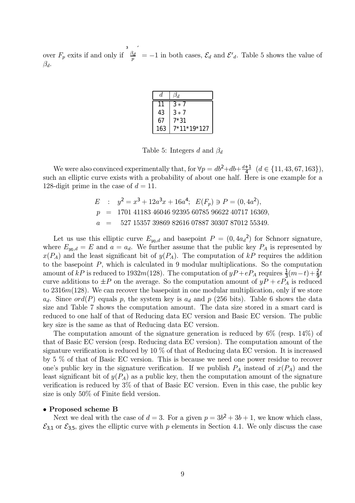over  $F_p$  exits if and only if  $\frac{\beta_p}{p}$  $= -1$  in both cases,  $\mathcal{E}_d$  and  $\mathcal{E'}_d$ . Table 5 shows the value of  $\beta_d$ .

| d.  | $\beta_d$   |
|-----|-------------|
| 11  | $3 * 7$     |
| 43  | $3*7$       |
| 67  | 7*31        |
| 163 | 7*11*19*127 |

Table 5: Integers d and  $\beta_d$ 

We were also convinced experimentally that, for  $\forall p = db^2 + db + \frac{d+1}{4} \ (d \in \{11, 43, 67, 163\}),$ such an elliptic curve exists with a probability of about one half. Here is one example for a 128-digit prime in the case of  $d = 11$ .

> $E$  :  $y^2 = x^3 + 12a^3x + 16a^4$ ;  $E(F_p) \ni P = (0, 4a^2)$ ,  $p = 1701 41183 46046 92395 60785 96622 40717 16369,$  $a = 527 15357 39869 82616 07887 30307 87012 55349.$

Let us use this elliptic curve  $E_{y_0,d}$  and basepoint  $P = (0, 4a_d^2)$  for Schnorr signature, where  $E_{y_0,d} = E$  and  $a = a_d$ . We further assume that the public key  $P_A$  is represented by  $x(P_A)$  and the least significant bit of  $y(P_A)$ . The computation of kP requires the addition to the basepoint  $P$ , which is calculated in 9 modular multiplications. So the computation amount of  $kP$  is reduced to 1932m(128). The computation of  $yP + eP_A$  requires  $\frac{1}{3}(m-t) + \frac{2}{9}t$ curve additions to  $\pm P$  on the average. So the computation amount of  $yP + eP_A$  is reduced to 2316m(128). We can recover the basepoint in one modular multiplication, only if we store  $a_d$ . Since ord(P) equals p, the system key is  $a_d$  and p (256 bits). Table 6 shows the data size and Table 7 shows the computation amount. The data size stored in a smart card is reduced to one half of that of Reducing data EC version and Basic EC version. The public key size is the same as that of Reducing data EC version.

The computation amount of the signature generation is reduced by 6% (resp. 14%) of that of Basic EC version (resp. Reducing data EC version). The computation amount of the signature verification is reduced by 10 % of that of Reducing data EC version. It is increased by 5 % of that of Basic EC version. This is because we need one power residue to recover one's public key in the signature verification. If we publish  $P_A$  instead of  $x(P_A)$  and the least significant bit of  $y(P_A)$  as a public key, then the computation amount of the signature verification is reduced by 3% of that of Basic EC version. Even in this case, the public key size is only 50% of Finite field version.

### • Proposed scheme B

Next we deal with the case of  $d = 3$ . For a given  $p = 3b^2 + 3b + 1$ , we know which class,  $\mathcal{E}_{3,1}$  or  $\mathcal{E}_{3,5}$ , gives the elliptic curve with p elements in Section 4.1. We only discuss the case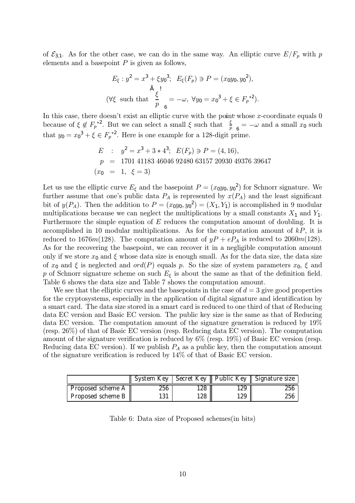of  $\mathcal{E}_{3,1}$ . As for the other case, we can do in the same way. An elliptic curve  $E/F_p$  with p elements and a basepoint  $P$  is given as follows,

$$
E_{\xi}: y^2 = x^3 + \xi y_0^3; \quad E_{\xi}(F_p) \ni P = (x_0 y_0, y_0^2),
$$
  
\n
$$
\tilde{A} : \qquad (\forall \xi \text{ such that } \frac{\xi}{p}_{6} = -\omega, \forall y_0 = x_0^3 + \xi \in F_p^{*2}).
$$

In this case, there doesn't exist an elliptic curve with the point whose x-coordinate equals  $0$ because of  $\xi \notin F_p^{*2}$ . But we can select a small  $\xi$  such that  $\frac{\xi}{p}$  $\frac{1}{6} = -\omega$  and a small  $x_0$  such that  $y_0 = x_0^3 + \xi \in F_p^{*2}$ . Here is one example for a 128-digit prime.

$$
E : y2 = x3 + 3 * 43; E(Fp) \ni P = (4, 16),
$$
  
\n
$$
p = 1701 41183 46046 92480 63157 20930 49376 39647
$$
  
\n
$$
(x0 = 1, \xi = 3)
$$

Let us use the elliptic curve  $E_{\xi}$  and the basepoint  $P = (x_0y_0, y_0^2)$  for Schnorr signature. We further assume that one's public data  $P_A$  is represented by  $x(P_A)$  and the least significant bit of  $y(P_A)$ . Then the addition to  $P = (x_0y_0, y_0^2) = (X_1, Y_1)$  is accomplished in 9 modular multiplications because we can neglect the multiplications by a small constants  $X_1$  and  $Y_1$ . Furthermore the simple equation of E reduces the computation amount of doubling. It is accomplished in 10 modular multiplications. As for the computation amount of  $kP$ , it is reduced to 1676 $m(128)$ . The computation amount of  $yP + eP_A$  is reduced to 2060 $m(128)$ . As for the recovering the basepoint, we can recover it in a negligible computation amount only if we store  $x_0$  and  $\xi$  whose data size is enough small. As for the data size, the data size of  $x_0$  and  $\xi$  is neglected and  $ord(P)$  equals p. So the size of system parameters  $x_0, \xi$  and p of Schnorr signature scheme on such  $E_{\xi}$  is about the same as that of the definition field. Table 6 shows the data size and Table 7 shows the computation amount.

We see that the elliptic curves and the basepoints in the case of  $d = 3$  give good properties for the cryptosystems, especially in the application of digital signature and identification by a smart card. The data size stored in a smart card is reduced to one third of that of Reducing data EC version and Basic EC version. The public key size is the same as that of Reducing data EC version. The computation amount of the signature generation is reduced by 19% (resp. 26%) of that of Basic EC version (resp. Reducing data EC version). The computation amount of the signature verification is reduced by 6% (resp. 19%) of Basic EC version (resp. Reducing data EC version). If we publish  $P_A$  as a public key, then the computation amount of the signature verification is reduced by 14% of that of Basic EC version.

|                   |     |     |     | System Key   Secret Key    Public Key    Signature size |
|-------------------|-----|-----|-----|---------------------------------------------------------|
| Proposed scheme A | 256 | 128 | 129 | 256                                                     |
| Proposed scheme B | 131 | 128 | 129 | 256                                                     |

Table 6: Data size of Proposed schemes(in bits)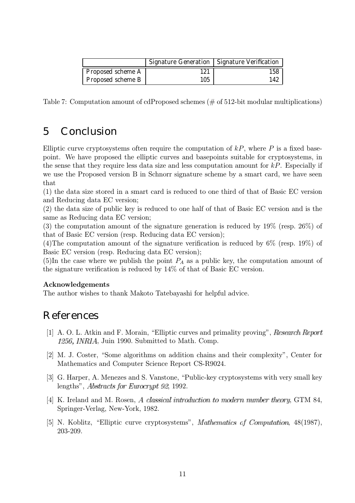|                   |     | Signature Generation   Signature Verification |
|-------------------|-----|-----------------------------------------------|
| Proposed scheme A |     | 158                                           |
| Proposed scheme B | 105 |                                               |

Table 7: Computation amount of cdProposed schemes (# of 512-bit modular multiplications)

# 5 Conclusion

Elliptic curve cryptosystems often require the computation of  $kP$ , where P is a fixed basepoint. We have proposed the elliptic curves and basepoints suitable for cryptosystems, in the sense that they require less data size and less computation amount for  $kP$ . Especially if we use the Proposed version B in Schnorr signature scheme by a smart card, we have seen that

(1) the data size stored in a smart card is reduced to one third of that of Basic EC version and Reducing data EC version;

(2) the data size of public key is reduced to one half of that of Basic EC version and is the same as Reducing data EC version;

(3) the computation amount of the signature generation is reduced by 19% (resp. 26%) of that of Basic EC version (resp. Reducing data EC version);

(4)The computation amount of the signature verification is reduced by 6% (resp. 19%) of Basic EC version (resp. Reducing data EC version);

(5)In the case where we publish the point  $P_A$  as a public key, the computation amount of the signature verification is reduced by 14% of that of Basic EC version.

## Acknowledgements

The author wishes to thank Makoto Tatebayashi for helpful advice.

# References

- [1] A. O. L. Atkin and F. Morain, "Elliptic curves and primality proving", Research Report 1256, *INRIA*, Juin 1990. Submitted to Math. Comp.
- [2] M. J. Coster, "Some algorithms on addition chains and their complexity", Center for Mathematics and Computer Science Report CS-R9024.
- [3] G. Harper, A. Menezes and S. Vanstone, "Public-key cryptosystems with very small key lengths", *Abstracts for Eurocrypt 92*, 1992.
- [4] K. Ireland and M. Rosen, A classical introduction to modern number theory, GTM 84, Springer-Verlag, New-York, 1982.
- [5] N. Koblitz, "Elliptic curve cryptosystems", *Mathematics of Computation*, 48(1987), 203-209.